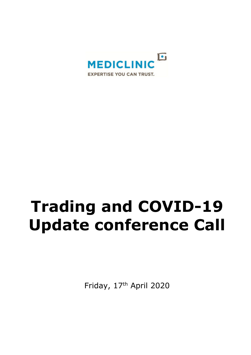

# **Trading and COVID-19 Update conference Call**

Friday, 17th April 2020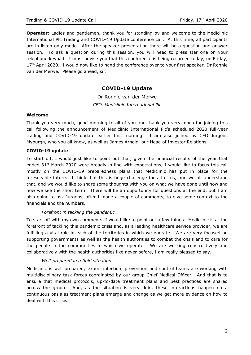**Operator:** Ladies and gentlemen, thank you for standing by and welcome to the Mediclinic International Plc Trading and COVID-19 Update conference call. At this time, all participants are in listen-only mode. After the speaker presentation there will be a question-and-answer session. To ask a question during this session, you will need to press star one on your telephone keypad. I must advise you that this conference is being recorded today, on Friday, 17<sup>th</sup> April 2020. I would now like to hand the conference over to your first speaker, Dr Ronnie van der Merwe. Please go ahead, sir.

# **COVID-19 Update**

Dr Ronnie van der Merwe *CEO, Mediclinic International Plc*

## **Welcome**

Thank you very much, good morning to all of you and thank you very much for joining this call following the announcement of Mediclinic International Plc's scheduled 2020 full-year trading and COVID-19 update earlier this morning. I am also joined by CFO Jurgens Myburgh, who you all know, as well as James Arnold, our Head of Investor Relations.

## **COVID-19 update**

To start off, I would just like to point out that, given the financial results of the year that ended 31<sup>st</sup> March 2020 were broadly in line with expectations, I would like to focus this call mostly on the COVID-19 preparedness plans that Mediclinic has put in place for the foreseeable future. I think that this is huge challenge for all of us, and we all understand that, and we would like to share some thoughts with you on what we have done until now and how we see the short term. There will be an opportunity for questions at the end, but I am also going to ask Jurgens, after I made a couple of comments, to give some context to the financials and the numbers.

## *Forefront in tackling the pandemic*

To start off with my own comments, I would like to point out a few things. Mediclinic is at the forefront of tackling this pandemic crisis and, as a leading healthcare service provider, we are fulfilling a vital role in each of the territories in which we operate. We are very focused on supporting governments as well as the health authorities to combat the crisis and to care for the people in the communities in which we operate. We are working constructively and collaboratively with the health authorities like never before, I am really pleased to say.

## *Well-prepared in a fluid situation*

Mediclinic is well prepared; expert infection, prevention and control teams are working with multidisciplinary task forces coordinated by our group Chief Medical Officer. And that is to ensure that medical protocols, up-to-date treatment plans and best practices are shared across the group. And, as the situation is very fluid, these interactions happen on a continuous basis as treatment plans emerge and change as we get more evidence on how to deal with this crisis.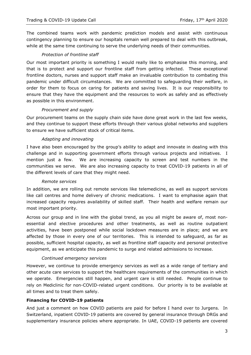The combined teams work with pandemic prediction models and assist with continuous contingency planning to ensure our hospitals remain well prepared to deal with this outbreak, while at the same time continuing to serve the underlying needs of their communities.

## *Protection of frontline staff*

Our most important priority is something I would really like to emphasise this morning, and that is to protect and support our frontline staff from getting infected. These exceptional frontline doctors, nurses and support staff make an invaluable contribution to combating this pandemic under difficult circumstances. We are committed to safeguarding their welfare, in order for them to focus on caring for patients and saving lives. It is our responsibility to ensure that they have the equipment and the resources to work as safely and as effectively as possible in this environment.

## *Procurement and supply*

Our procurement teams on the supply chain side have done great work in the last few weeks, and they continue to support these efforts through their various global networks and suppliers to ensure we have sufficient stock of critical items.

## *Adapting and innovating*

I have also been encouraged by the group's ability to adapt and innovate in dealing with this challenge and in supporting government efforts through various projects and initiatives. I mention just a few. We are increasing capacity to screen and test numbers in the communities we serve. We are also increasing capacity to treat COVID-19 patients in all of the different levels of care that they might need.

## *Remote services*

In addition, we are rolling out remote services like telemedicine, as well as support services like call centres and home delivery of chronic medications. I want to emphasise again that increased capacity requires availability of skilled staff. Their health and welfare remain our most important priority.

Across our group and in line with the global trend, as you all might be aware of, most nonessential and elective procedures and other treatments, as well as routine outpatient activities, have been postponed while social lockdown measures are in place; and we are affected by those in every one of our territories. This is intended to safeguard, as far as possible, sufficient hospital capacity, as well as frontline staff capacity and personal protective equipment, as we anticipate this pandemic to surge and related admissions to increase.

## *Continued emergency services*

However, we continue to provide emergency services as well as a wide range of tertiary and other acute care services to support the healthcare requirements of the communities in which we operate. Emergencies still happen, and urgent care is still needed. People continue to rely on Mediclinic for non-COVID-related urgent conditions. Our priority is to be available at all times and to treat them safely.

## **Financing for COVID-19 patients**

And just a comment on how COVID patients are paid for before I hand over to Jurgens. In Switzerland, inpatient COVID-19 patients are covered by general insurance through DRGs and supplementary insurance policies where appropriate. In UAE, COVID-19 patients are covered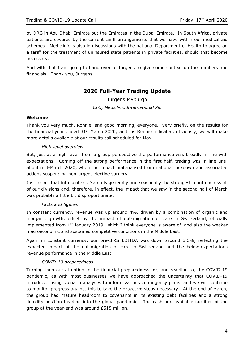by DRG in Abu Dhabi Emirate but the Emirates in the Dubai Emirate. In South Africa, private patients are covered by the current tariff arrangements that we have within our medical aid schemes. Mediclinic is also in discussions with the national Department of Health to agree on a tariff for the treatment of uninsured state patients in private facilities, should that become necessary.

And with that I am going to hand over to Jurgens to give some context on the numbers and financials. Thank you, Jurgens.

# **2020 Full-Year Trading Update**

Jurgens Myburgh *CFO, Mediclinic International Plc*

## **Welcome**

Thank you very much, Ronnie, and good morning, everyone. Very briefly, on the results for the financial year ended  $31<sup>st</sup>$  March 2020; and, as Ronnie indicated, obviously, we will make more details available at our results call scheduled for May.

## *High-level overview*

But, just at a high level, from a group perspective the performance was broadly in line with expectations. Coming off the strong performance in the first half, trading was in line until about mid-March 2020, when the impact materialised from national lockdown and associated actions suspending non-urgent elective surgery.

Just to put that into context, March is generally and seasonally the strongest month across all of our divisions and, therefore, in effect, the impact that we saw in the second half of March was probably a little bit disproportionate.

## *Facts and figures*

In constant currency, revenue was up around 4%, driven by a combination of organic and inorganic growth, offset by the impact of out-migration of care in Switzerland, officially implemented from  $1<sup>st</sup>$  January 2019, which I think everyone is aware of. and also the weaker macroeconomic and sustained competitive conditions in the Middle East.

Again in constant currency, our pre-IFRS EBITDA was down around 3.5%, reflecting the expected impact of the out-migration of care in Switzerland and the below-expectations revenue performance in the Middle East.

## *COVID-19 preparedness*

Turning then our attention to the financial preparedness for, and reaction to, the COVID-19 pandemic, as with most businesses we have approached the uncertainty that COVID-19 introduces using scenario analyses to inform various contingency plans. and we will continue to monitor progress against this to take the proactive steps necessary. At the end of March, the group had mature headroom to covenants in its existing debt facilities and a strong liquidity position heading into the global pandemic. The cash and available facilities of the group at the year-end was around £515 million.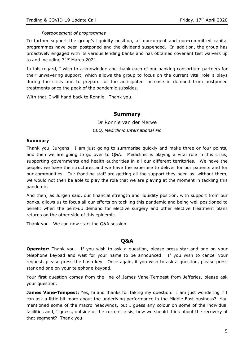## *Postponement of programmes*

To further support the group's liquidity position, all non-urgent and non-committed capital programmes have been postponed and the dividend suspended. In addition, the group has proactively engaged with its various lending banks and has obtained covenant test waivers up to and including  $31<sup>st</sup>$  March 2021.

In this regard, I wish to acknowledge and thank each of our banking consortium partners for their unwavering support, which allows the group to focus on the current vital role it plays during the crisis and to prepare for the anticipated increase in demand from postponed treatments once the peak of the pandemic subsides.

With that, I will hand back to Ronnie. Thank you.

## **Summary**

Dr Ronnie van der Merwe *CEO, Mediclinic International Plc*

#### **Summary**

Thank you, Jurgens. I am just going to summarise quickly and make three or four points, and then we are going to go over to Q&A. Mediclinic is playing a vital role in this crisis, supporting governments and health authorities in all our different territories. We have the people, we have the structures and we have the expertise to deliver for our patients and for our communities. Our frontline staff are getting all the support they need as, without them, we would not then be able to play the role that we are playing at the moment in tackling this pandemic.

And then, as Jurgen said, our financial strength and liquidity position, with support from our banks, allows us to focus all our efforts on tackling this pandemic and being well positioned to benefit when the pent-up demand for elective surgery and other elective treatment plans returns on the other side of this epidemic.

Thank you. We can now start the Q&A session.

## **Q&A**

**Operator:** Thank you. If you wish to ask a question, please press star and one on your telephone keypad and wait for your name to be announced. If you wish to cancel your request, please press the hash key. Once again, if you wish to ask a question, please press star and one on your telephone keypad.

Your first question comes from the line of James Vane-Tempest from Jefferies, please ask your question.

**James Vane-Tempest:** Yes, hi and thanks for taking my question. I am just wondering if I can ask a little bit more about the underlying performance in the Middle East business? You mentioned some of the macro headwinds, but I guess any colour on some of the individual facilities and, I guess, outside of the current crisis, how we should think about the recovery of that segment? Thank you.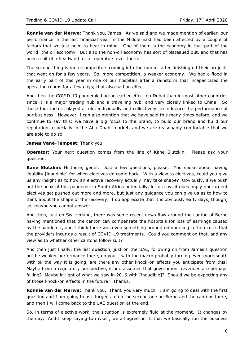**Ronnie van der Merwe:** Thank you, James. As we said and we made mention of earlier, our performance in the last financial year in the Middle East had been affected by a couple of factors that we just need to bear in mind. One of them is the economy in that part of the world: the oil economy. But also the non-oil economy has sort of plateaued out, and that has been a bit of a headwind for all operators over there.

The second thing is more competitors coming into the market after finishing off their projects that went on for a few years. So, more competition, a weaker economy. We had a flood in the early part of this year in one of our hospitals after a rainstorm that incapacitated the operating rooms for a few days; that also had an effect.

And then the COVID-19 pandemic had an earlier effect on Dubai than in most other countries since it is a major trading hub and a travelling hub, and very closely linked to China. So those four factors played a role, individually and collectively, to influence the performance of our business. However, I can also mention that we have said this many times before, and we continue to say this: we have a big focus to the brand, to build our brand and build our reputation, especially in the Abu Dhabi market, and we are reasonably comfortable that we are able to do so.

#### **James Vane-Tempest:** Thank you.

**Operator:** Your next question comes from the line of Kane Slutzkin. Please ask your question.

**Kane Slutzkin:** Hi there, gents. Just a few questions, please. You spoke about having liquidity [inaudible] for when electives do come back. With a view to electives, could you give us any insight as to how an elective recovery actually may take shape? Obviously, if we push out the peak of this pandemic in South Africa potentially, let us say, it does imply non-urgent electives get pushed out more and more, but just any guidance you can give us as to how to think about the shape of the recovery. I do appreciate that it is obviously early days, though, so, maybe you cannot answer.

And then, just on Switzerland, there was some recent news flow around the canton of Berne having mentioned that the canton can compensate the hospitals for loss of earnings caused by the pandemic, and I think there was even something around reimbursing certain costs that the providers incur as a result of COVID-19 treatments. Could you comment on that, and any view as to whether other cantons follow suit?

And then just finally, the last question, just on the UAE, following on from James's question on the weaker performance there, do you – with the macro probably turning even more south with oil the way it is going, are there any other knock-on effects you anticipate from this? Maybe from a regulatory perspective, if one assumes that government revenues are perhaps falling? Maybe in light of what we saw in 2016 with [inaudible]? Should we be expecting any of those knock-on effects in the future? Thanks.

**Ronnie van der Merwe:** Thank you. Thank you very much. I am going to deal with the first question and I am going to ask Jurgens to do the second one on Berne and the cantons there, and then I will come back to the UAE question at the end.

So, in terms of elective work, the situation is extremely fluid at the moment. It changes by the day. And I keep saying to myself, we all agree on it, that we basically run the business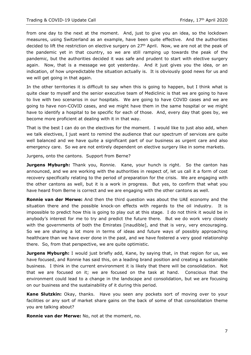from one day to the next at the moment. And, just to give you an idea, so the lockdown measures, using Switzerland as an example, have been quite effective. And the authorities decided to lift the restriction on elective surgery on  $27<sup>th</sup>$  April. Now, we are not at the peak of the pandemic yet in that country, so we are still ramping up towards the peak of the pandemic, but the authorities decided it was safe and prudent to start with elective surgery again. Now, that is a message we got yesterday. And it just gives you the idea, or an indication, of how unpredictable the situation actually is. It is obviously good news for us and we will get going in that again.

In the other territories it is difficult to say when this is going to happen, but I think what is quite clear to myself and the senior executive team of Mediclinic is that we are going to have to live with two scenarios in our hospitals. We are going to have COVID cases and we are going to have non-COVID cases, and we might have them in the same hospital or we might have to identify a hospital to be specific for each of those. And, every day that goes by, we become more proficient at dealing with it in that way.

That is the best I can do on the electives for the moment. I would like to just also add, when we talk electives, I just want to remind the audience that our spectrum of services are quite well balanced and we have quite a significant part of our business as urgent care and also emergency care. So we are not entirely dependent on elective surgery like in some markets.

Jurgens, onto the cantons. Support from Berne?

**Jurgens Myburgh:** Thank you, Ronnie. Kane, your hunch is right. So the canton has announced, and we are working with the authorities in respect of, let us call it a form of cost recovery specifically relating to the period of preparation for the crisis. We are engaging with the other cantons as well, but it is a work in progress. But yes, to confirm that what you have heard from Berne is correct and we are engaging with the other cantons as well.

**Ronnie van der Merwe:** And then the third question was about the UAE economy and the situation there and the possible knock-on effects with regards to the oil industry. It is impossible to predict how this is going to play out at this stage. I do not think it would be in anybody's interest for me to try and predict the future there. But we do work very closely with the governments of both the Emirates [inaudible], and that is very, very encouraging. So we are sharing a lot more in terms of ideas and future ways of possibly approaching healthcare than we have ever done in the past, and we have fostered a very good relationship there. So, from that perspective, we are quite optimistic.

**Jurgens Myburgh:** I would just briefly add, Kane, by saying that, in that region for us, we have focused, and Ronnie has said this, on a leading brand position and creating a sustainable business. I think in the current environment it is likely that there will be consolidation. Not that we are focused on it; we are focused on the task at hand. Conscious that the environment could lead to a change in the landscape and consolidation, but we are focusing on our business and the sustainability of it during this period.

**Kane Slutzkin:** Okay, thanks. Have you seen any pockets sort of moving over to your facilities or any sort of market share gains on the back of some of that consolidation theme you are talking about?

**Ronnie van der Merwe:** No, not at the moment, no.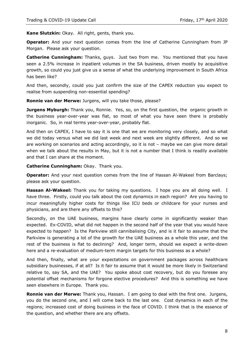**Kane Slutzkin:** Okay. All right, gents, thank you.

**Operator:** And your next question comes from the line of Catherine Cunningham from JP Morgan. Please ask your question.

**Catherine Cunningham:** Thanks, guys. Just two from me. You mentioned that you have seen a 2.5% increase in inpatient volumes in the SA business, driven mostly by acquisitive growth, so could you just give us a sense of what the underlying improvement in South Africa has been like?

And then, secondly, could you just confirm the size of the CAPEX reduction you expect to realise from suspending non-essential spending?

**Ronnie van der Merwe:** Jurgens, will you take those, please?

**Jurgens Myburgh:** Thank you, Ronnie. Yes, so, on the first question, the organic growth in the business year-over-year was flat, so most of what you have seen there is probably inorganic. So, in real terms year-over-year, probably flat.

And then on CAPEX, I have to say it is one that we are monitoring very closely, and so what we did today versus what we did last week and next week are slightly different. And so we are working on scenarios and acting accordingly, so it is not – maybe we can give more detail when we talk about the results in May, but it is not a number that I think is readily available and that I can share at the moment.

**Catherine Cunningham:** Okay. Thank you.

**Operator:** And your next question comes from the line of Hassan Al-Wakeel from Barclays; please ask your question.

**Hassan Al-Wakeel:** Thank you for taking my questions. I hope you are all doing well. I have three. Firstly, could you talk about the cost dynamics in each region? Are you having to incur meaningfully higher costs for things like ICU beds or childcare for your nurses and physicians, and are there any offsets to this?

Secondly, on the UAE business, margins have clearly come in significantly weaker than expected. Ex-COVID, what did not happen in the second half of the year that you would have expected to happen? Is the Parkview still cannibalising City, and is it fair to assume that the Parkview is generating a lot of the growth for the UAE business as a whole this year, and the rest of the business is flat to declining? And, longer term, should we expect a write-down here and a re-evaluation of medium-term margin targets for this business as a whole?

And then, finally, what are your expectations on government packages across healthcare subsidiary businesses, if at all? Is it fair to assume that it would be more likely in Switzerland relative to, say SA, and the UAE? You spoke about cost recovery, but do you foresee any potential offset mechanisms for forgone elective procedures? And this is something we have seen elsewhere in Europe. Thank you.

**Ronnie van der Merwe:** Thank you, Hassan. I am going to deal with the first one. Jurgens, you do the second one, and I will come back to the last one. Cost dynamics in each of the regions; increased cost of doing business in the face of COVID. I think that is the essence of the question, and whether there are any offsets.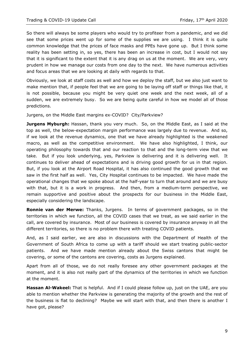So there will always be some players who would try to profiteer from a pandemic, and we did see that some prices went up for some of the supplies we are using. I think it is quite common knowledge that the prices of face masks and PPEs have gone up. But I think some reality has been setting in, so yes, there has been an increase in cost, but I would not say that it is significant to the extent that it is any drag on us at the moment. We are very, very prudent in how we manage our costs from one day to the next. We have numerous activities and focus areas that we are looking at daily with regards to that.

Obviously, we look at staff costs as well and how we deploy the staff, but we also just want to make mention that, if people feel that we are going to be laying off staff or things like that, it is not possible, because you might be very quiet one week and the next week, all of a sudden, we are extremely busy. So we are being quite careful in how we model all of those predictions.

Jurgens, on the Middle East margins ex-COVID? City/Parkview?

**Jurgens Myburgh:** Hassan, thank you very much. So, on the Middle East, as I said at the top as well, the below-expectation margin performance was largely due to revenue. And so, if we look at the revenue dynamics, one that we have already highlighted is the weakened macro, as well as the competitive environment. We have also highlighted, I think, our operating philosophy towards that and our reaction to that and the long-term view that we take. But if you look underlying, yes, Parkview is delivering and it is delivering well. It continues to deliver ahead of expectations and is driving good growth for us in that region. But, if you look at the Airport Road Hospital, it has also continued the good growth that we saw in the first half as well. Yes, City Hospital continues to be impacted. We have made the operational changes that we spoke about at the half-year to turn that around and we are busy with that, but it is a work in progress. And then, from a medium-term perspective, we remain supportive and positive about the prospects for our business in the Middle East, especially considering the landscape.

**Ronnie van der Merwe:** Thanks, Jurgens. In terms of government packages, so in the territories in which we function, all the COVID cases that we treat, as we said earlier in the call, are covered by insurance. Most of our business is covered by insurance anyway in all the different territories, so there is no problem there with treating COVID patients.

And, as I said earlier, we are also in discussions with the Department of Health of the Government of South Africa to come up with a tariff should we start treating public-sector patients. And we have made mention already about the Swiss cantons that might be covering, or some of the cantons are covering, costs as Jurgens explained.

Apart from all of those, we do not really foresee any other government packages at the moment, and it is also not really part of the dynamics of the territories in which we function at the moment.

**Hassan Al-Wakeel:** That is helpful. And if I could please follow up, just on the UAE, are you able to mention whether the Parkview is generating the majority of the growth and the rest of the business is flat to declining? Maybe we will start with that, and then there is another I have got, please?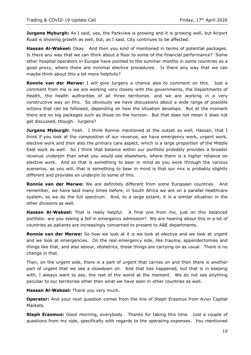**Jurgens Myburgh:** As I said, yes, the Parkview is growing and it is growing well, but Airport Road is showing growth as well, but, as I said, City continues to be affected.

**Hassan Al-Wakeel:** Okay. And then you kind of mentioned in terms of potential packages. Is there any way that we can think about a floor to some of the financial performance? Some other hospital operators in Europe have pointed to the summer months in some countries as a good proxy, where there are minimal elective procedures. Is there any way that we can maybe think about this a bit more helpfully?

**Ronnie van der Merwe:** I will give Jurgens a chance also to comment on this. Just a comment from me is we are working very closely with the governments, the Departments of Health, the health authorities of all three territories. and we are working in a very constructive way on this. So obviously we have discussions about a wide range of possible actions that can be followed, depending on how the situation develops. But at the moment there are no big packages such as those on the horizon. But that does not mean it does not get discussed, though. Jurgens?

**Jurgens Myburgh:** Yeah. I think Ronnie mentioned at the outset as well, Hassan, that I think if you look at the composition of our revenue, we have emergency work, urgent work, elective work and then also the primary care aspect, which is a large proportion of the Middle East work as well. So I think that balance within our portfolio probably provides a broader revenue underpin than what you would see elsewhere, where there is a higher reliance on elective work. And so that is something to bear in mind as you work through the various scenarios, as you will, that is something to bear in mind is that our mix is probably slightly different and provides an underpin to some of this.

**Ronnie van der Merwe:** We are definitely different from some European countries. And remember, we have said many times before, in South Africa we are on a parallel healthcare system, so we do the full spectrum. And, to a large extent, it is a similar situation in the other divisions as well.

**Hassan Al-Wakeel:** That is really helpful. A final one from me, just on this balanced portfolio: are you seeing a fall in emergency admission? We are hearing about this in a lot of countries as patients are increasingly concerned to present to A&E departments.

**Ronnie van der Merwe:** So how we look at it is we look at elective and we look at urgent and we look at emergencies. On the real emergency side, like trauma, appendectomies and things like that, and also labour, obstetrics, those things are carrying on as usual. There is no change in that.

Then, on the urgent side, there is a part of urgent that carries on and then there is another part of urgent that we see a slowdown on. And that has happened, but that is in keeping with, I always want to say, the rest of the world at the moment. We do not see anything peculiar to our territories other than what we have seen in other countries as well.

**Hassan Al-Wakeel:** Thank you very much.

**Operator:** And your next question comes from the line of Steph Erasmus from Avior Capital Markets.

**Steph Erasmus:** Good morning, everybody. Thanks for taking this time. Just a couple of questions from my side, specifically with regards to the operating expenses. You mentioned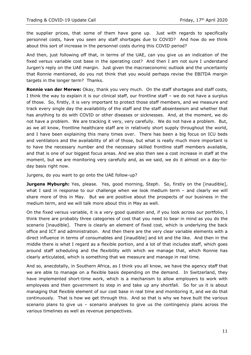the supplier prices, that some of them have gone up. Just with regards to specifically personnel costs, have you seen any staff shortages due to COVID? And how do we think about this sort of increase in the personnel costs during this COVID period?

And then, just following off that, in terms of the UAE, can you give us an indication of the fixed versus variable cost base in the operating cost? And then I am not sure I understand Jurgen's reply on the UAE margin. Just given the macroeconomic outlook and the uncertainty that Ronnie mentioned, do you not think that you would perhaps revise the EBITDA margin targets in the longer term? Thanks.

**Ronnie van der Merwe:** Okay, thank you very much. On the staff shortages and staff costs, I think the way to explain it is our clinical staff, our frontline staff – we do not have a surplus of those. So, firstly, it is very important to protect those staff members, and we measure and track every single day the availability of the staff and the staff absenteeism and whether that has anything to do with COVID or other diseases or sicknesses. And, at the moment, we do not have a problem. We are tracking it very, very carefully. We do not have a problem. But, as we all know, frontline healthcare staff are in relatively short supply throughout the world, and I have been explaining this many times over. There has been a big focus on ICU beds and ventilators and the availability of all of those, but what is really much more important is to have the necessary number and the necessary skilled frontline staff members available, and that is one of our biggest focus areas. And we also then see a cost increase in staff at the moment, but we are monitoring very carefully and, as we said, we do it almost on a day-today basis right now.

Jurgens, do you want to go onto the UAE follow-up?

**Jurgens Myburgh:** Yes, please. Yes, good morning, Steph. So, firstly on the [inaudible], what I said in response to our challenge when we look medium term - and clearly we will share more of this in May. But we are positive about the prospects of our business in the medium term, and we will talk more about this in May as well.

On the fixed versus variable, it is a very good question and, if you look across our portfolio, I think there are probably three categories of cost that you need to bear in mind as you do the scenario [inaudible]. There is clearly an element of fixed cost, which is underlying the back office and ICT and administration. And then there are the very clear variable elements with a direct influence in terms of consumables and [inaudible] and kit and the like. And then in the middle there is what I regard as a flexible portion, and a lot of that includes staff, which goes around staff scheduling and the flexibility with which we manage that, which Ronnie has clearly articulated, which is something that we measure and manage in real time.

And so, anecdotally, in Southern Africa, as I think you all know, we have the agency staff that we are able to manage on a flexible basis depending on the demand. In Switzerland, they have implemented short-time work, which is a mechanism to allow employers to work with employees and then government to step in and take up any shortfall. So for us it is about managing that flexible element of our cost base in real time and monitoring it, and we do that continuously. That is how we get through this. And so that is why we have built the various scenario plans to give us – scenario analyses to give us the contingency plans across the various timelines as well as revenue perspectives.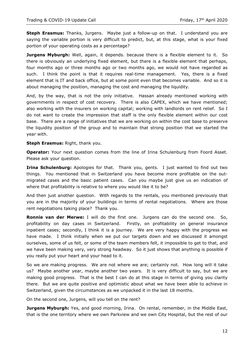**Steph Erasmus:** Thanks, Jurgens. Maybe just a follow-up on that. I understand you are saying the variable portion is very difficult to predict, but, at this stage, what is your fixed portion of your operating costs as a percentage?

**Jurgens Myburgh:** Well, again, it depends. because there is a flexible element to it. So there is obviously an underlying fixed element, but there is a flexible element that perhaps, four months ago or three months ago or two months ago, we would not have regarded as such. I think the point is that it requires real-time management. Yes, there is a fixed element that is IT and back office, but at some point even that becomes variable. And so it is about managing the position, managing the cost and managing the liquidity.

And, by the way, that is not the only initiative. Hassan already mentioned working with governments in respect of cost recovery. There is also CAPEX, which we have mentioned; also working with the insurers on working capital; working with landlords on rent relief. So I do not want to create the impression that staff is the only flexible element within our cost base. There are a range of initiatives that we are working on within the cost base to preserve the liquidity position of the group and to maintain that strong position that we started the year with.

**Steph Erasmus:** Right, thank you.

**Operator:** Your next question comes from the line of Irina Schulenburg from Foord Asset. Please ask your question.

**Irina Schulenburg:** Apologies for that. Thank you, gents. I just wanted to find out two things. You mentioned that in Switzerland you have become more profitable on the outmigrated cases and the basic patient cases. Can you maybe just give us an indication of where that profitability is relative to where you would like it to be?

And then just another question. With regards to the rentals, you mentioned previously that you are in the majority of your buildings in terms of rental negotiations. Where are those rent negotiations taking place? Thank you.

**Ronnie van der Merwe:** I will do the first one. Jurgens can do the second one. So, profitability on day cases in Switzerland. Firstly, on profitability on general insurance inpatient cases; secondly, I think it is a journey. We are very happy with the progress we have made. I think initially when we put our targets down and we discussed it amongst ourselves, some of us felt, or some of the team members felt, it impossible to get to that, and we have been making very, very strong headway. So it just shows that anything is possible if you really put your heart and your head to it.

So we are making progress. We are not where we are; certainly not. How long will it take us? Maybe another year, maybe another two years. It is very difficult to say, but we are making good progress. That is the best I can do at this stage in terms of giving you clarity there. But we are quite positive and optimistic about what we have been able to achieve in Switzerland, given the circumstances as we unpacked it in the last 18 months.

On the second one, Jurgens, will you tell on the rent?

**Jurgens Myburgh:** Yes, and good morning, Irina. On rental, remember, in the Middle East, that is the one territory where we own Parkview and we own City Hospital, but the rest of our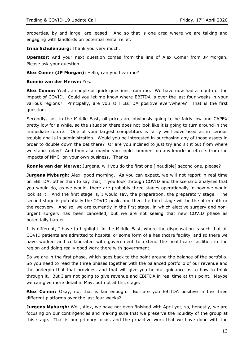properties, by and large, are leased. And so that is one area where we are talking and engaging with landlords on potential rental relief.

**Irina Schulenburg:** Thank you very much.

**Operator:** And your next question comes from the line of Alex Comer from JP Morgan. Please ask your question.

**Alex Comer (JP Morgan):** Hello, can you hear me?

**Ronnie van der Merwe:** Yes.

**Alex Comer:** Yeah, a couple of quick questions from me. We have now had a month of the impact of COVID. Could you let me know where EBITDA is over the last four weeks in your various regions? Principally, are you still EBITDA positive everywhere? That is the first question.

Secondly, just in the Middle East, oil prices are obviously going to be fairly low and CAPEX pretty low for a while, so the situation there does not look like it is going to turn around in the immediate future. One of your largest competitors is fairly well advertised as in serious trouble and is in administration. Would you be interested in purchasing any of those assets in order to double down the bet there? Or are you inclined to just try and sit it out from where we stand today? And then also maybe you could comment on any knock-on effects from the impacts of NMC on your own business. Thanks.

**Ronnie van der Merwe:** Jurgens, will you do the first one [inaudible] second one, please?

**Jurgens Myburgh:** Alex, good morning. As you can expect, we will not report in real time on EBITDA, other than to say that, if you look through COVID and the scenario analyses that you would do, as we would, there are probably three stages operationally in how we would look at it. And the first stage is, I would say, the preparation, the preparatory stage. The second stage is potentially the COVID peak, and then the third stage will be the aftermath or the recovery. And so, we are currently in the first stage, in which elective surgery and nonurgent surgery has been cancelled, but we are not seeing that new COVID phase as potentially harder.

It is different, I have to highlight, in the Middle East, where the dispensation is such that all COVID patients are admitted to hospital or some form of a healthcare facility, and so there we have worked and collaborated with government to extend the healthcare facilities in the region and doing really good work there with government.

So we are in the first phase, which goes back to the point around the balance of the portfolio. So you need to read the three phases together with the balanced portfolio of our revenue and the underpin that that provides, and that will give you helpful guidance as to how to think through it. But I am not going to give revenue and EBITDA in real time at this point. Maybe we can give more detail in May, but not at this stage.

**Alex Comer:** Okay, no, that is fair enough. But are you EBITDA positive in the three different platforms over the last four weeks?

**Jurgens Myburgh:** Well, Alex, we have not even finished with April yet, so, honestly, we are focusing on our contingencies and making sure that we preserve the liquidity of the group at this stage. That is our primary focus, and the proactive work that we have done with the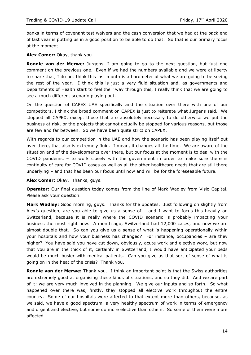banks in terms of covenant test waivers and the cash conversion that we had at the back end of last year is putting us in a good position to be able to do that. So that is our primary focus at the moment.

**Alex Comer:** Okay, thank you.

**Ronnie van der Merwe:** Jurgens, I am going to go to the next question, but just one comment on the previous one. Even if we had the numbers available and we were at liberty to share that, I do not think this last month is a barometer of what we are going to be seeing the rest of the year. I think this is just a very fluid situation and, as governments and Departments of Health start to feel their way through this, I really think that we are going to see a much different scenario playing out.

On the question of CAPEX UAE specifically and the situation over there with one of our competitors, I think the broad comment on CAPEX is just to reiterate what Jurgens said. We stopped all CAPEX, except those that are absolutely necessary to do otherwise we put the business at risk, or the projects that cannot actually be stopped for various reasons, but those are few and far between. So we have been quite strict on CAPEX.

With regards to our competition in the UAE and how the scenario has been playing itself out over there, that also is extremely fluid. I mean, it changes all the time. We are aware of the situation and of the developments over there, but our focus at the moment is to deal with the COVID pandemic – to work closely with the government in order to make sure there is continuity of care for COVID cases as well as all the other healthcare needs that are still there underlying – and that has been our focus until now and will be for the foreseeable future.

**Alex Comer:** Okay. Thanks, guys.

**Operator:** Our final question today comes from the line of Mark Wadley from Visio Capital. Please ask your question.

**Mark Wadley:** Good morning, guys. Thanks for the updates. Just following on slightly from Alex's question, are you able to give us a sense of  $-$  and I want to focus this heavily on Switzerland, because it is really where the COVID scenario is probably impacting your business the most right now. A month ago, Switzerland had 12,000 cases, and now we are almost double that. So can you give us a sense of what is happening operationally within your hospitals and how your business has changed? For instance, occupancies – are they higher? You have said you have cut down, obviously, acute work and elective work, but now that you are in the thick of it, certainly in Switzerland, I would have anticipated your beds would be much busier with medical patients. Can you give us that sort of sense of what is going on in the heat of the crisis? Thank you.

**Ronnie van der Merwe:** Thank you. I think an important point is that the Swiss authorities are extremely good at organising these kinds of situations, and so they did. And we are part of it; we are very much involved in the planning. We give our inputs and so forth. So what happened over there was, firstly, they stopped all elective work throughout the entire country. Some of our hospitals were affected to that extent more than others, because, as we said, we have a good spectrum, a very healthy spectrum of work in terms of emergency and urgent and elective, but some do more elective than others. So some of them were more affected.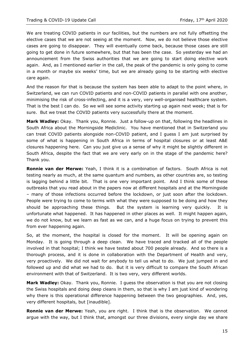We are treating COVID patients in our facilities, but the numbers are not fully offsetting the elective cases that we are not seeing at the moment. Now, we do not believe those elective cases are going to disappear. They will eventually come back, because those cases are still going to get done in future somewhere, but that has been the case. So yesterday we had an announcement from the Swiss authorities that we are going to start doing elective work again. And, as I mentioned earlier in the call, the peak of the pandemic is only going to come in a month or maybe six weeks' time, but we are already going to be starting with elective care again.

And the reason for that is because the system has been able to adapt to the point where, in Switzerland, we can run COVID patients and non-COVID patients in parallel with one another, minimising the risk of cross-infecting, and it is a very, very well-organised healthcare system. That is the best I can do. So we will see some activity starting up again next week; that is for sure. But we treat the COVID patients very successfully there at the moment.

**Mark Wadley:** Okay. Thank you, Ronnie. Just a follow-up on that, following the headlines in South Africa about the Morningside Mediclinic. You have mentioned that in Switzerland you can treat COVID patients alongside non-COVID patient, and I guess I am just surprised by some of what is happening in South Africa in terms of hospital closures or at least A&E closures happening here. Can you just give us a sense of why it might be slightly different in South Africa, despite the fact that we are very early on in the stage of the pandemic here? Thank you.

**Ronnie van der Merwe:** Yeah, I think it is a combination of factors. South Africa is not testing nearly as much, at the same quantum and numbers, as other countries are, so testing is lagging behind a little bit. That is one very important point. And I think some of these outbreaks that you read about in the papers now at different hospitals and at the Morningside – many of those infections occurred before the lockdown, or just soon after the lockdown. People were trying to come to terms with what they were supposed to be doing and how they should be approaching these things. But the system is learning very quickly. It is unfortunate what happened. It has happened in other places as well. It might happen again, we do not know, but we learn as fast as we can, and a huge focus on trying to prevent this from ever happening again.

So, at the moment, the hospital is closed for the moment. It will be opening again on Monday. It is going through a deep clean. We have traced and tracked all of the people involved in that hospital; I think we have tested about 700 people already. And so there is a thorough process, and it is done in collaboration with the Department of Health and very, very proactively. We did not wait for anybody to tell us what to do. We just jumped in and followed up and did what we had to do. But it is very difficult to compare the South African environment with that of Switzerland. It is two very, very different worlds.

**Mark Wadley:** Okay. Thank you, Ronnie. I guess the observation is that you are not closing the Swiss hospitals and doing deep cleans in them, so that is why I am just kind of wondering why there is this operational difference happening between the two geographies. And, yes, very different hospitals, but [inaudible].

**Ronnie van der Merwe:** Yeah, you are right. I think that is the observation. We cannot argue with the way, but I think that, amongst our three divisions, every single day we share